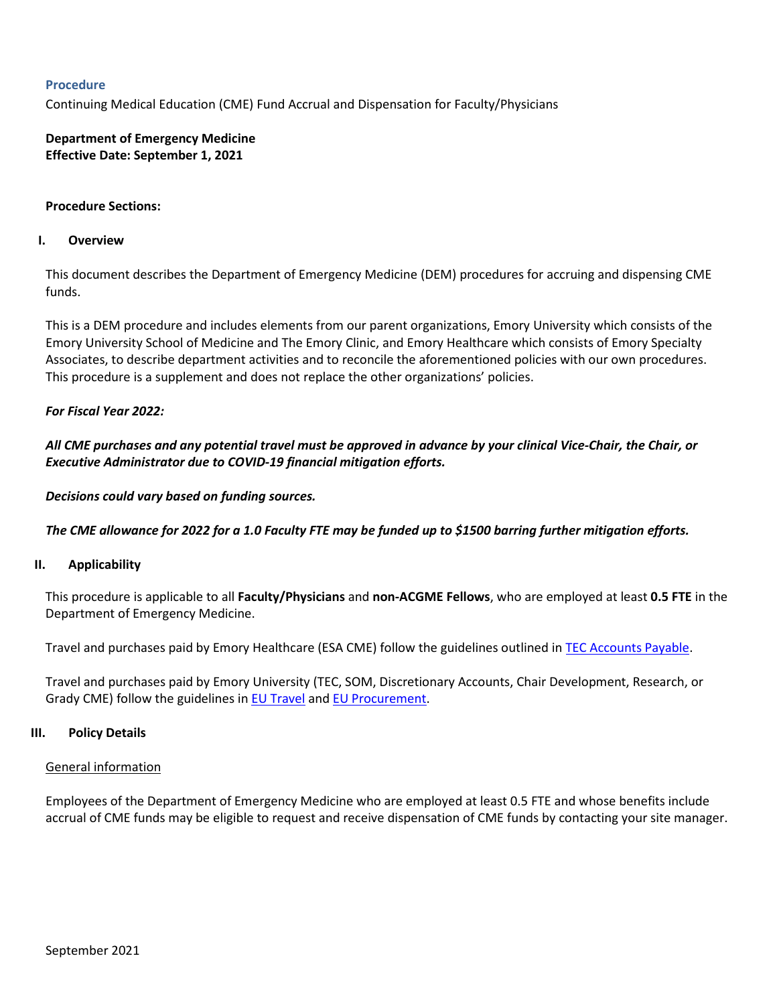## **Procedure**

Continuing Medical Education (CME) Fund Accrual and Dispensation for Faculty/Physicians

# **Department of Emergency Medicine Effective Date: September 1, 2021**

## **Procedure Sections:**

### **I. Overview**

This document describes the Department of Emergency Medicine (DEM) procedures for accruing and dispensing CME funds.

This is a DEM procedure and includes elements from our parent organizations, Emory University which consists of the Emory University School of Medicine and The Emory Clinic, and Emory Healthcare which consists of Emory Specialty Associates, to describe department activities and to reconcile the aforementioned policies with our own procedures. This procedure is a supplement and does not replace the other organizations' policies.

## *For Fiscal Year 2022:*

*All CME purchases and any potential travel must be approved in advance by your clinical Vice-Chair, the Chair, or Executive Administrator due to COVID-19 financial mitigation efforts.* 

## *Decisions could vary based on funding sources.*

*The CME allowance for 2022 for a 1.0 Faculty FTE may be funded up to \$1500 barring further mitigation efforts.*

### **II. Applicability**

This procedure is applicable to all **Faculty/Physicians** and **non-ACGME Fellows**, who are employed at least **0.5 FTE** in the Department of Emergency Medicine.

Travel and purchases paid by Emory Healthcare (ESA CME) follow the guidelines outlined in [TEC Accounts Payable.](https://emory.ellucid.com/documents/view/8607/active/)

Travel and purchases paid by Emory University (TEC, SOM, Discretionary Accounts, Chair Development, Research, or Grady CME) follow the guidelines in [EU Travel](https://emory.ellucid.com/documents/view/19638/active/) and [EU Procurement.](https://emory.ellucid.com/documents/view/17766/?security=549fae76f4e75ea107ef75102775a26de436b64f)

### **III. Policy Details**

### General information

Employees of the Department of Emergency Medicine who are employed at least 0.5 FTE and whose benefits include accrual of CME funds may be eligible to request and receive dispensation of CME funds by contacting your site manager.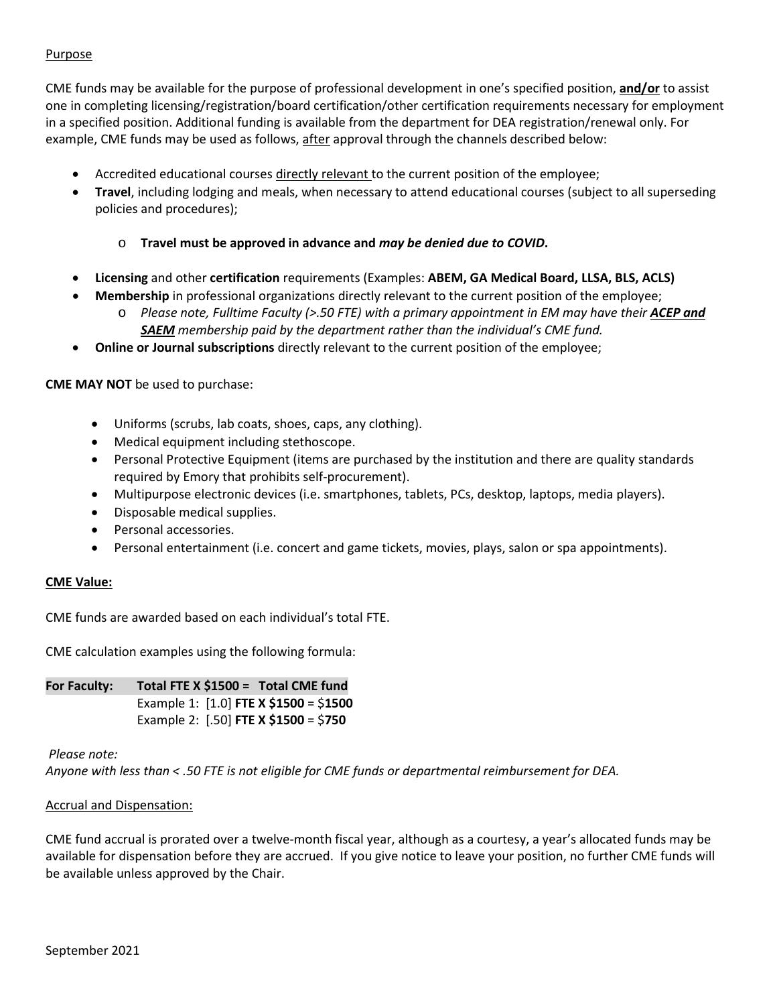# Purpose

CME funds may be available for the purpose of professional development in one's specified position, **and/or** to assist one in completing licensing/registration/board certification/other certification requirements necessary for employment in a specified position. Additional funding is available from the department for DEA registration/renewal only. For example, CME funds may be used as follows, after approval through the channels described below:

- Accredited educational courses directly relevant to the current position of the employee;
- **Travel**, including lodging and meals, when necessary to attend educational courses (subject to all superseding policies and procedures);
	- o **Travel must be approved in advance and** *may be denied due to COVID***.**
- **Licensing** and other **certification** requirements (Examples: **ABEM, GA Medical Board, LLSA, BLS, ACLS)**
- **Membership** in professional organizations directly relevant to the current position of the employee;
	- o *Please note, Fulltime Faculty (>.50 FTE) with a primary appointment in EM may have their ACEP and SAEM membership paid by the department rather than the individual's CME fund.*
- **Online or Journal subscriptions** directly relevant to the current position of the employee;

# **CME MAY NOT** be used to purchase:

- Uniforms (scrubs, lab coats, shoes, caps, any clothing).
- Medical equipment including stethoscope.
- Personal Protective Equipment (items are purchased by the institution and there are quality standards required by Emory that prohibits self-procurement).
- Multipurpose electronic devices (i.e. smartphones, tablets, PCs, desktop, laptops, media players).
- Disposable medical supplies.
- Personal accessories.
- Personal entertainment (i.e. concert and game tickets, movies, plays, salon or spa appointments).

# **CME Value:**

CME funds are awarded based on each individual's total FTE.

CME calculation examples using the following formula:

| <b>For Faculty:</b> | Total FTE X \$1500 = Total CME fund    |
|---------------------|----------------------------------------|
|                     | Example 1: [1.0] FTE X \$1500 = \$1500 |
|                     | Example 2: [.50] FTE X \$1500 = \$750  |

*Please note:*

*Anyone with less than < .50 FTE is not eligible for CME funds or departmental reimbursement for DEA.*

# Accrual and Dispensation:

CME fund accrual is prorated over a twelve-month fiscal year, although as a courtesy, a year's allocated funds may be available for dispensation before they are accrued. If you give notice to leave your position, no further CME funds will be available unless approved by the Chair.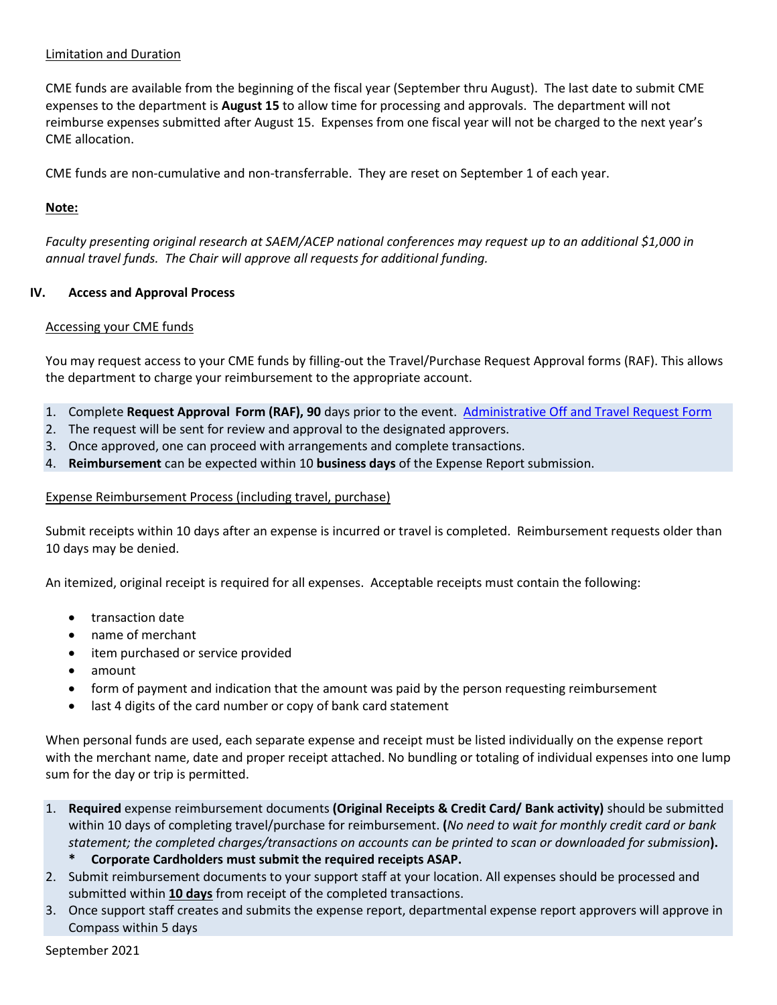# Limitation and Duration

CME funds are available from the beginning of the fiscal year (September thru August). The last date to submit CME expenses to the department is **August 15** to allow time for processing and approvals. The department will not reimburse expenses submitted after August 15. Expenses from one fiscal year will not be charged to the next year's CME allocation.

CME funds are non-cumulative and non-transferrable. They are reset on September 1 of each year.

# **Note:**

*Faculty presenting original research at SAEM/ACEP national conferences may request up to an additional \$1,000 in annual travel funds. The Chair will approve all requests for additional funding.*

# **IV. Access and Approval Process**

# Accessing your CME funds

You may request access to your CME funds by filling-out the Travel/Purchase Request Approval forms (RAF). This allows the department to charge your reimbursement to the appropriate account.

- 1. Complete **Request Approval Form (RAF), 90** days prior to the event. [Administrative Off and Travel Request Form](https://nam03.safelinks.protection.outlook.com/?url=https%3A%2F%2Fdocs.google.com%2Fforms%2Fd%2Fe%2F1FAIpQLSeiqpY6eWQis0t8aWtwINdcMckesGWKIjDjUZcOYUG_JGlwyA%2Fviewform&data=02%7C01%7Cmgride3%40emory.edu%7C4d0922290f06438fad9108d8501e0e30%7Ce004fb9cb0a4424fbcd0322606d5df38%7C0%7C0%7C637347437315601292&sdata=XNNbZMBCxh7NME3NO%2BLvB8yKjV9SUAoGarZHRhbSgVY%3D&reserved=0)
- 2. The request will be sent for review and approval to the designated approvers.
- 3. Once approved, one can proceed with arrangements and complete transactions.
- 4. **Reimbursement** can be expected within 10 **business days** of the Expense Report submission.

## Expense Reimbursement Process (including travel, purchase)

Submit receipts within 10 days after an expense is incurred or travel is completed. Reimbursement requests older than 10 days may be denied.

An itemized, original receipt is required for all expenses. Acceptable receipts must contain the following:

- transaction date
- name of merchant
- item purchased or service provided
- amount
- form of payment and indication that the amount was paid by the person requesting reimbursement
- last 4 digits of the card number or copy of bank card statement

When personal funds are used, each separate expense and receipt must be listed individually on the expense report with the merchant name, date and proper receipt attached. No bundling or totaling of individual expenses into one lump sum for the day or trip is permitted.

- 1. **Required** expense reimbursement documents **(Original Receipts & Credit Card/ Bank activity)** should be submitted within 10 days of completing travel/purchase for reimbursement. **(***No need to wait for monthly credit card or bank statement; the completed charges/transactions on accounts can be printed to scan or downloaded for submission***).**
	- **\* Corporate Cardholders must submit the required receipts ASAP.**
- 2. Submit reimbursement documents to your support staff at your location. All expenses should be processed and submitted within **10 days** from receipt of the completed transactions.
- 3. Once support staff creates and submits the expense report, departmental expense report approvers will approve in Compass within 5 days